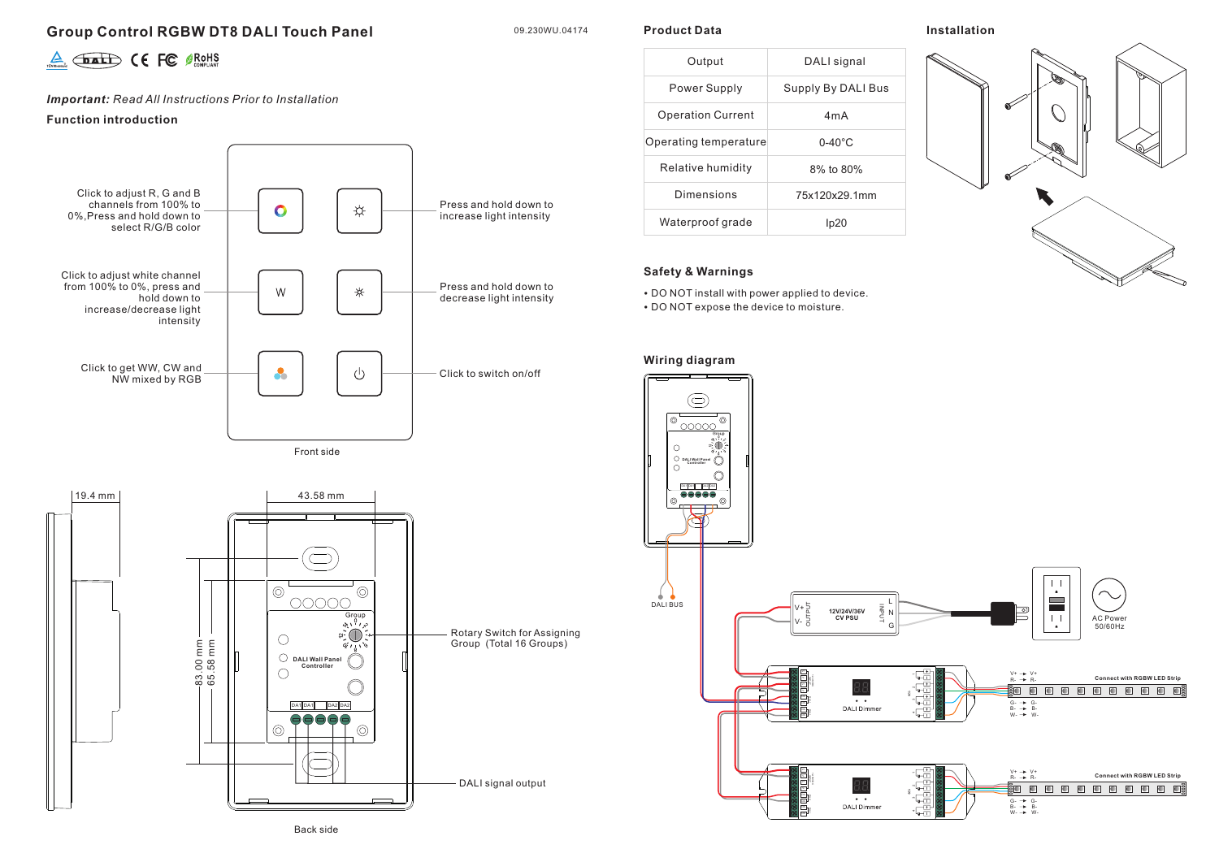# **Group Control RGBW DT8 DALI Touch Panel**

09.230WU.04174

**Product Data**

## **Installation**



*Important: Read All Instructions Prior to Installation*

### **Function introduction**



Front side



| Output                   | DALI signal        |  |  |  |  |  |  |
|--------------------------|--------------------|--|--|--|--|--|--|
| Power Supply             | Supply By DALI Bus |  |  |  |  |  |  |
| <b>Operation Current</b> | 4mA                |  |  |  |  |  |  |
| Operating temperature    | $0 - 40^{\circ}$ C |  |  |  |  |  |  |
| Relative humidity        | 8% to 80%          |  |  |  |  |  |  |
| Dimensions               | 75x120x29.1mm      |  |  |  |  |  |  |
| Waterproof grade         |                    |  |  |  |  |  |  |

## **Safety & Warnings**

• DO NOT install with power applied to device.

• DO NOT expose the device to moisture.

## **Wiring diagram**